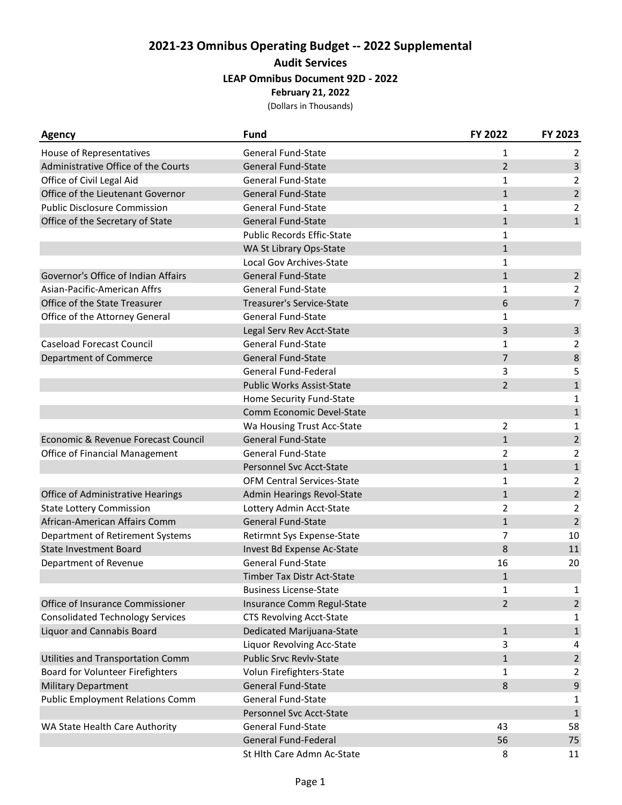## **2021-23 Omnibus Operating Budget -- 2022 Supplemental Audit Services LEAP Omnibus Document 92D - 2022 February 21, 2022**

(Dollars in Thousands)

| <b>Agency</b>                           | <b>Fund</b>                       | FY 2022        | FY 2023        |
|-----------------------------------------|-----------------------------------|----------------|----------------|
| House of Representatives                | <b>General Fund-State</b>         | 1              | 2              |
| Administrative Office of the Courts     | <b>General Fund-State</b>         | $\overline{2}$ | 3              |
| Office of Civil Legal Aid               | <b>General Fund-State</b>         | $\mathbf{1}$   | 2              |
| Office of the Lieutenant Governor       | <b>General Fund-State</b>         | $\mathbf{1}$   | $\overline{2}$ |
| <b>Public Disclosure Commission</b>     | <b>General Fund-State</b>         | $\mathbf{1}$   | $\overline{2}$ |
| Office of the Secretary of State        | <b>General Fund-State</b>         | $\mathbf{1}$   | $\mathbf{1}$   |
|                                         | <b>Public Records Effic-State</b> | $\mathbf{1}$   |                |
|                                         | WA St Library Ops-State           | $\mathbf{1}$   |                |
|                                         | Local Gov Archives-State          | 1              |                |
| Governor's Office of Indian Affairs     | <b>General Fund-State</b>         | $\mathbf{1}$   | $\overline{2}$ |
| Asian-Pacific-American Affrs            | General Fund-State                | $\mathbf{1}$   | $\overline{2}$ |
| Office of the State Treasurer           | <b>Treasurer's Service-State</b>  | 6              | $\overline{7}$ |
| Office of the Attorney General          | <b>General Fund-State</b>         | 1              |                |
|                                         | Legal Serv Rev Acct-State         | 3              | $\mathsf{3}$   |
| <b>Caseload Forecast Council</b>        | <b>General Fund-State</b>         | $\mathbf{1}$   | $\overline{2}$ |
| Department of Commerce                  | <b>General Fund-State</b>         | $\overline{7}$ | 8              |
|                                         | General Fund-Federal              | 3              | 5              |
|                                         | <b>Public Works Assist-State</b>  | $\overline{2}$ | $\mathbf{1}$   |
|                                         | Home Security Fund-State          |                | $\mathbf 1$    |
|                                         | Comm Economic Devel-State         |                | $\mathbf{1}$   |
|                                         | Wa Housing Trust Acc-State        | 2              | 1              |
| Economic & Revenue Forecast Council     | <b>General Fund-State</b>         | $\mathbf{1}$   | $\overline{2}$ |
| Office of Financial Management          | General Fund-State                | $\overline{2}$ | 2              |
|                                         | Personnel Svc Acct-State          | $\mathbf{1}$   | $1\,$          |
|                                         | OFM Central Services-State        | 1              | $\overline{2}$ |
| Office of Administrative Hearings       | <b>Admin Hearings Revol-State</b> | $\mathbf{1}$   | $\overline{2}$ |
| <b>State Lottery Commission</b>         | Lottery Admin Acct-State          | $\overline{2}$ | $\overline{2}$ |
| African-American Affairs Comm           | General Fund-State                | $\mathbf{1}$   | $\overline{2}$ |
| Department of Retirement Systems        | Retirmnt Sys Expense-State        | 7              | 10             |
| <b>State Investment Board</b>           | Invest Bd Expense Ac-State        | 8              | 11             |
| Department of Revenue                   | General Fund-State                | 16             | 20             |
|                                         | <b>Timber Tax Distr Act-State</b> | $\mathbf{1}$   |                |
|                                         | <b>Business License-State</b>     | 1              | 1              |
| Office of Insurance Commissioner        | Insurance Comm Regul-State        | $\overline{2}$ | $\overline{2}$ |
| <b>Consolidated Technology Services</b> | <b>CTS Revolving Acct-State</b>   |                | 1              |
| Liquor and Cannabis Board               | Dedicated Marijuana-State         | $\mathbf{1}$   | $\mathbf{1}$   |
|                                         | Liquor Revolving Acc-State        | 3              | 4              |
| Utilities and Transportation Comm       | <b>Public Srvc Revlv-State</b>    | $\mathbf{1}$   | $\overline{2}$ |
| Board for Volunteer Firefighters        | Volun Firefighters-State          | $\mathbf{1}$   | $\overline{2}$ |
| <b>Military Department</b>              | General Fund-State                | $\,8\,$        | $\mathsf 9$    |
| <b>Public Employment Relations Comm</b> | <b>General Fund-State</b>         |                | 1              |
|                                         | Personnel Svc Acct-State          |                | $\mathbf{1}$   |
| WA State Health Care Authority          | <b>General Fund-State</b>         | 43             | 58             |
|                                         | <b>General Fund-Federal</b>       | 56             | 75             |
|                                         | St Hlth Care Admn Ac-State        | 8              | 11             |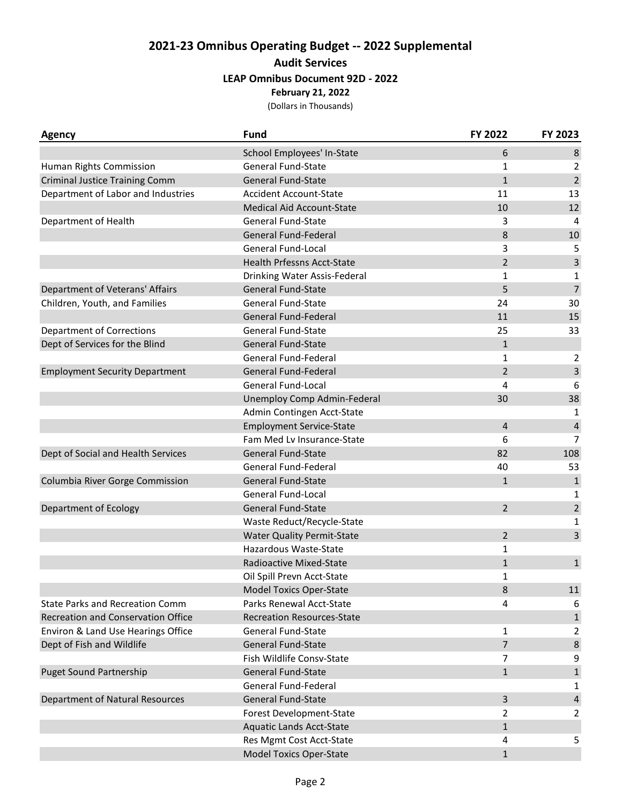## **2021-23 Omnibus Operating Budget -- 2022 Supplemental Audit Services LEAP Omnibus Document 92D - 2022 February 21, 2022**

(Dollars in Thousands)

| <b>Agency</b>                             | <b>Fund</b>                       | FY 2022        | FY 2023                 |
|-------------------------------------------|-----------------------------------|----------------|-------------------------|
|                                           | School Employees' In-State        | 6              | $\bf 8$                 |
| Human Rights Commission                   | General Fund-State                | 1              | $\overline{2}$          |
| <b>Criminal Justice Training Comm</b>     | <b>General Fund-State</b>         | $\mathbf{1}$   | $\overline{2}$          |
| Department of Labor and Industries        | <b>Accident Account-State</b>     | 11             | 13                      |
|                                           | Medical Aid Account-State         | 10             | 12                      |
| Department of Health                      | <b>General Fund-State</b>         | 3              | 4                       |
|                                           | General Fund-Federal              | 8              | 10                      |
|                                           | <b>General Fund-Local</b>         | 3              | 5                       |
|                                           | <b>Health Prfessns Acct-State</b> | $\overline{2}$ | $\overline{\mathbf{3}}$ |
|                                           | Drinking Water Assis-Federal      | $\mathbf{1}$   | $\mathbf{1}$            |
| Department of Veterans' Affairs           | General Fund-State                | 5              | $\overline{7}$          |
| Children, Youth, and Families             | <b>General Fund-State</b>         | 24             | 30                      |
|                                           | General Fund-Federal              | 11             | 15                      |
| <b>Department of Corrections</b>          | <b>General Fund-State</b>         | 25             | 33                      |
| Dept of Services for the Blind            | <b>General Fund-State</b>         | $\mathbf{1}$   |                         |
|                                           | General Fund-Federal              | $\mathbf{1}$   | $\overline{2}$          |
| <b>Employment Security Department</b>     | General Fund-Federal              | $\overline{2}$ | $\overline{3}$          |
|                                           | General Fund-Local                | 4              | 6                       |
|                                           | Unemploy Comp Admin-Federal       | 30             | 38                      |
|                                           | Admin Contingen Acct-State        |                | 1                       |
|                                           | <b>Employment Service-State</b>   | $\overline{4}$ | $\pmb{4}$               |
|                                           | Fam Med Lv Insurance-State        | 6              | $\overline{7}$          |
| Dept of Social and Health Services        | <b>General Fund-State</b>         | 82             | 108                     |
|                                           | General Fund-Federal              | 40             | 53                      |
| Columbia River Gorge Commission           | <b>General Fund-State</b>         | $\mathbf{1}$   | $\mathbf 1$             |
|                                           | General Fund-Local                |                | 1                       |
| Department of Ecology                     | <b>General Fund-State</b>         | $\overline{2}$ | $\overline{2}$          |
|                                           | Waste Reduct/Recycle-State        |                | 1                       |
|                                           | <b>Water Quality Permit-State</b> | $\overline{2}$ | 3                       |
|                                           | Hazardous Waste-State             | 1              |                         |
|                                           | Radioactive Mixed-State           | $\mathbf{1}$   | $\,1\,$                 |
|                                           | Oil Spill Prevn Acct-State        | $\mathbf{1}$   |                         |
|                                           | <b>Model Toxics Oper-State</b>    | 8              | 11                      |
| <b>State Parks and Recreation Comm</b>    | Parks Renewal Acct-State          | 4              | 6                       |
| <b>Recreation and Conservation Office</b> | <b>Recreation Resources-State</b> |                | $\mathbf 1$             |
| Environ & Land Use Hearings Office        | <b>General Fund-State</b>         | 1              | $\overline{2}$          |
| Dept of Fish and Wildlife                 | <b>General Fund-State</b>         | $\overline{7}$ | $\bf 8$                 |
|                                           | Fish Wildlife Consv-State         | $\overline{7}$ | 9                       |
| <b>Puget Sound Partnership</b>            | <b>General Fund-State</b>         | $\mathbf{1}$   | $1\,$                   |
|                                           | General Fund-Federal              |                | 1                       |
| Department of Natural Resources           | General Fund-State                | 3              | $\overline{4}$          |
|                                           | Forest Development-State          | $\overline{2}$ | 2                       |
|                                           | <b>Aquatic Lands Acct-State</b>   | $\mathbf{1}$   |                         |
|                                           | Res Mgmt Cost Acct-State          | 4              | 5                       |
|                                           | <b>Model Toxics Oper-State</b>    | $\mathbf{1}$   |                         |